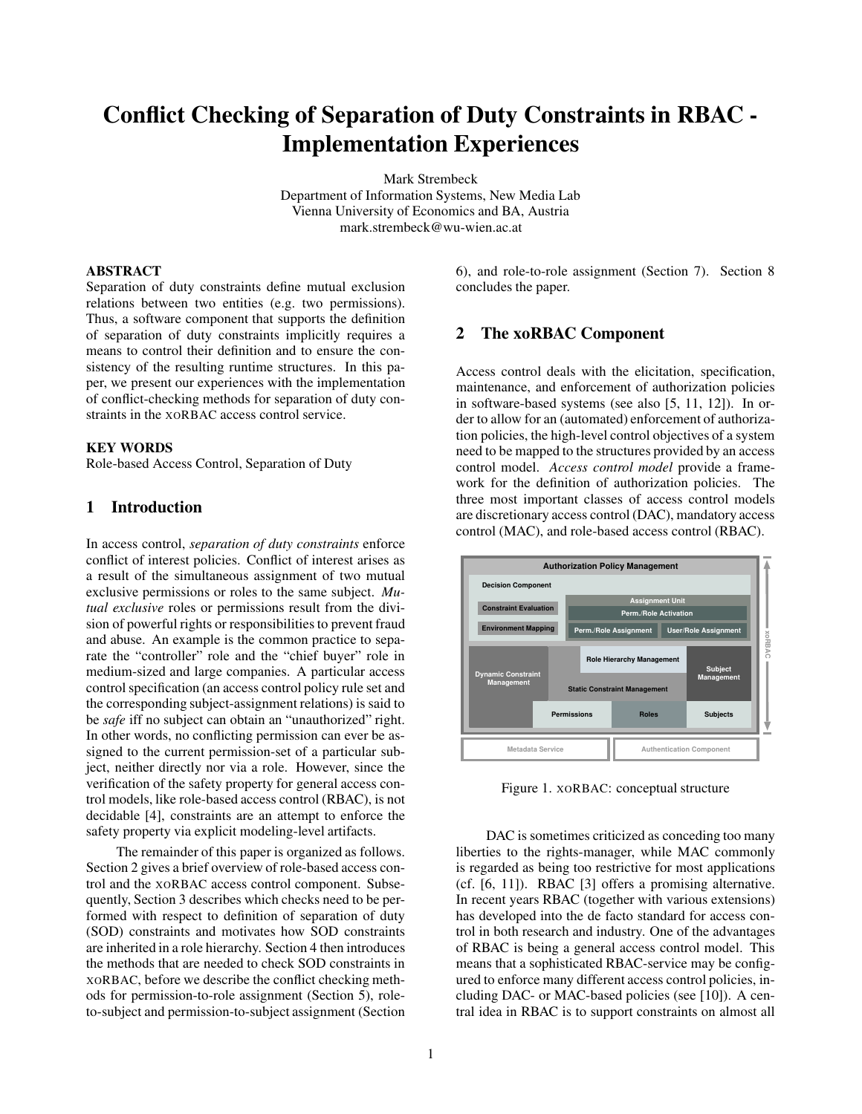# **Conflict Checking of Separation of Duty Constraints in RBAC - Implementation Experiences**

Mark Strembeck Department of Information Systems, New Media Lab Vienna University of Economics and BA, Austria mark.strembeck@wu-wien.ac.at

## **ABSTRACT**

Separation of duty constraints define mutual exclusion relations between two entities (e.g. two permissions). Thus, a software component that supports the definition of separation of duty constraints implicitly requires a means to control their definition and to ensure the consistency of the resulting runtime structures. In this paper, we present our experiences with the implementation of conflict-checking methods for separation of duty constraints in the XORBAC access control service.

### **KEY WORDS**

Role-based Access Control, Separation of Duty

# **1 Introduction**

In access control, *separation of duty constraints* enforce conflict of interest policies. Conflict of interest arises as a result of the simultaneous assignment of two mutual exclusive permissions or roles to the same subject. *Mutual exclusive* roles or permissions result from the division of powerful rights or responsibilities to prevent fraud and abuse. An example is the common practice to separate the "controller" role and the "chief buyer" role in medium-sized and large companies. A particular access control specification (an access control policy rule set and the corresponding subject-assignment relations) is said to be *safe* iff no subject can obtain an "unauthorized" right. In other words, no conflicting permission can ever be assigned to the current permission-set of a particular subject, neither directly nor via a role. However, since the verification of the safety property for general access control models, like role-based access control (RBAC), is not decidable [4], constraints are an attempt to enforce the safety property via explicit modeling-level artifacts.

The remainder of this paper is organized as follows. Section 2 gives a brief overview of role-based access control and the XORBAC access control component. Subsequently, Section 3 describes which checks need to be performed with respect to definition of separation of duty (SOD) constraints and motivates how SOD constraints are inherited in a role hierarchy. Section 4 then introduces the methods that are needed to check SOD constraints in XORBAC, before we describe the conflict checking methods for permission-to-role assignment (Section 5), roleto-subject and permission-to-subject assignment (Section

6), and role-to-role assignment (Section 7). Section 8 concludes the paper.

# **2 The xoRBAC Component**

Access control deals with the elicitation, specification, maintenance, and enforcement of authorization policies in software-based systems (see also [5, 11, 12]). In order to allow for an (automated) enforcement of authorization policies, the high-level control objectives of a system need to be mapped to the structures provided by an access control model. *Access control model* provide a framework for the definition of authorization policies. The three most important classes of access control models are discretionary access control (DAC), mandatory access control (MAC), and role-based access control (RBAC).



Figure 1. XORBAC: conceptual structure

DAC is sometimes criticized as conceding too many liberties to the rights-manager, while MAC commonly is regarded as being too restrictive for most applications (cf. [6, 11]). RBAC [3] offers a promising alternative. In recent years RBAC (together with various extensions) has developed into the de facto standard for access control in both research and industry. One of the advantages of RBAC is being a general access control model. This means that a sophisticated RBAC-service may be configured to enforce many different access control policies, including DAC- or MAC-based policies (see [10]). A central idea in RBAC is to support constraints on almost all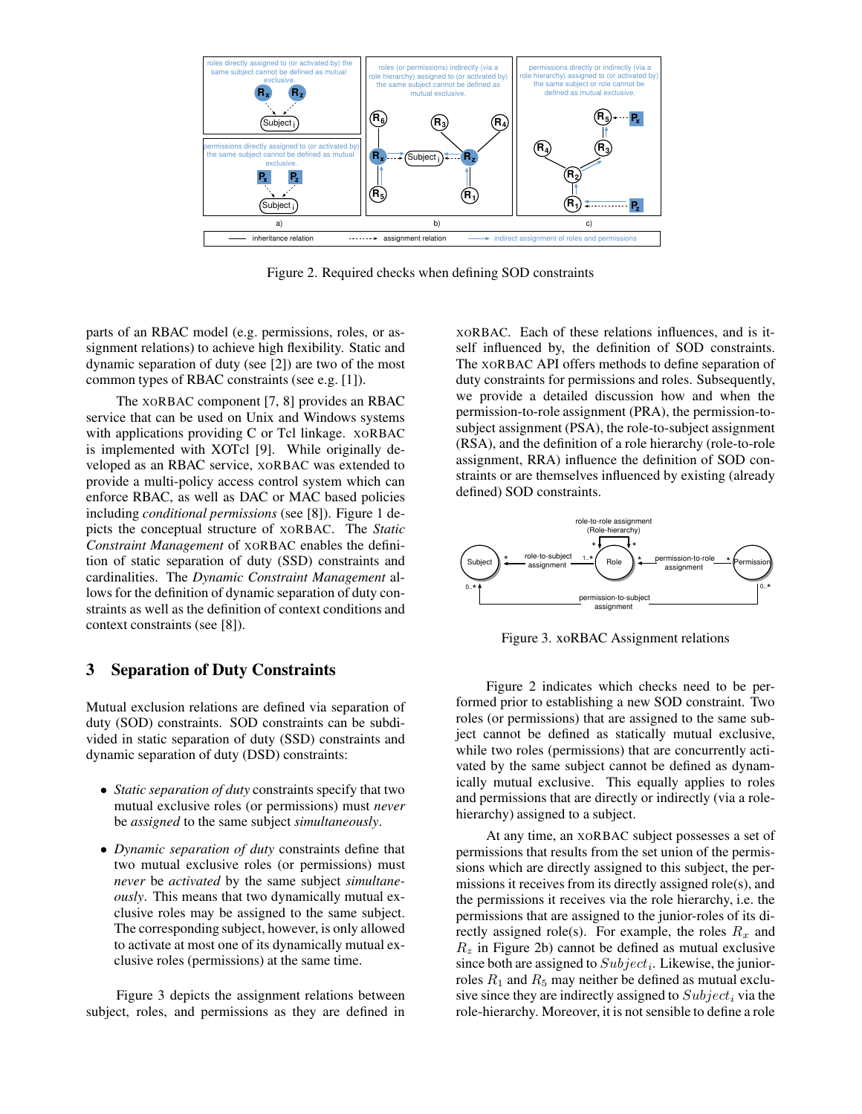

Figure 2. Required checks when defining SOD constraints

parts of an RBAC model (e.g. permissions, roles, or assignment relations) to achieve high flexibility. Static and dynamic separation of duty (see [2]) are two of the most common types of RBAC constraints (see e.g. [1]).

The XORBAC component [7, 8] provides an RBAC service that can be used on Unix and Windows systems with applications providing C or Tcl linkage. XORBAC is implemented with XOTcl [9]. While originally developed as an RBAC service, XORBAC was extended to provide a multi-policy access control system which can enforce RBAC, as well as DAC or MAC based policies including *conditional permissions* (see [8]). Figure 1 depicts the conceptual structure of XORBAC. The *Static Constraint Management* of XORBAC enables the definition of static separation of duty (SSD) constraints and cardinalities. The *Dynamic Constraint Management* allows for the definition of dynamic separation of duty constraints as well as the definition of context conditions and context constraints (see [8]).

## **3 Separation of Duty Constraints**

Mutual exclusion relations are defined via separation of duty (SOD) constraints. SOD constraints can be subdivided in static separation of duty (SSD) constraints and dynamic separation of duty (DSD) constraints:

- *Static separation of duty* constraints specify that two mutual exclusive roles (or permissions) must *never* be *assigned* to the same subject *simultaneously*.
- *Dynamic separation of duty* constraints define that two mutual exclusive roles (or permissions) must *never* be *activated* by the same subject *simultaneously*. This means that two dynamically mutual exclusive roles may be assigned to the same subject. The corresponding subject, however, is only allowed to activate at most one of its dynamically mutual exclusive roles (permissions) at the same time.

Figure 3 depicts the assignment relations between subject, roles, and permissions as they are defined in

XORBAC. Each of these relations influences, and is itself influenced by, the definition of SOD constraints. The XORBAC API offers methods to define separation of duty constraints for permissions and roles. Subsequently, we provide a detailed discussion how and when the permission-to-role assignment (PRA), the permission-tosubject assignment (PSA), the role-to-subject assignment (RSA), and the definition of a role hierarchy (role-to-role assignment, RRA) influence the definition of SOD constraints or are themselves influenced by existing (already defined) SOD constraints.



Figure 3. xoRBAC Assignment relations

Figure 2 indicates which checks need to be performed prior to establishing a new SOD constraint. Two roles (or permissions) that are assigned to the same subject cannot be defined as statically mutual exclusive, while two roles (permissions) that are concurrently activated by the same subject cannot be defined as dynamically mutual exclusive. This equally applies to roles and permissions that are directly or indirectly (via a rolehierarchy) assigned to a subject.

At any time, an XORBAC subject possesses a set of permissions that results from the set union of the permissions which are directly assigned to this subject, the permissions it receives from its directly assigned role(s), and the permissions it receives via the role hierarchy, i.e. the permissions that are assigned to the junior-roles of its directly assigned role(s). For example, the roles  $R_x$  and  $R<sub>z</sub>$  in Figure 2b) cannot be defined as mutual exclusive since both are assigned to  $Subject_i$ . Likewise, the juniorroles  $R_1$  and  $R_5$  may neither be defined as mutual exclusive since they are indirectly assigned to  $Subject_i$  via the role-hierarchy. Moreover, it is not sensible to define a role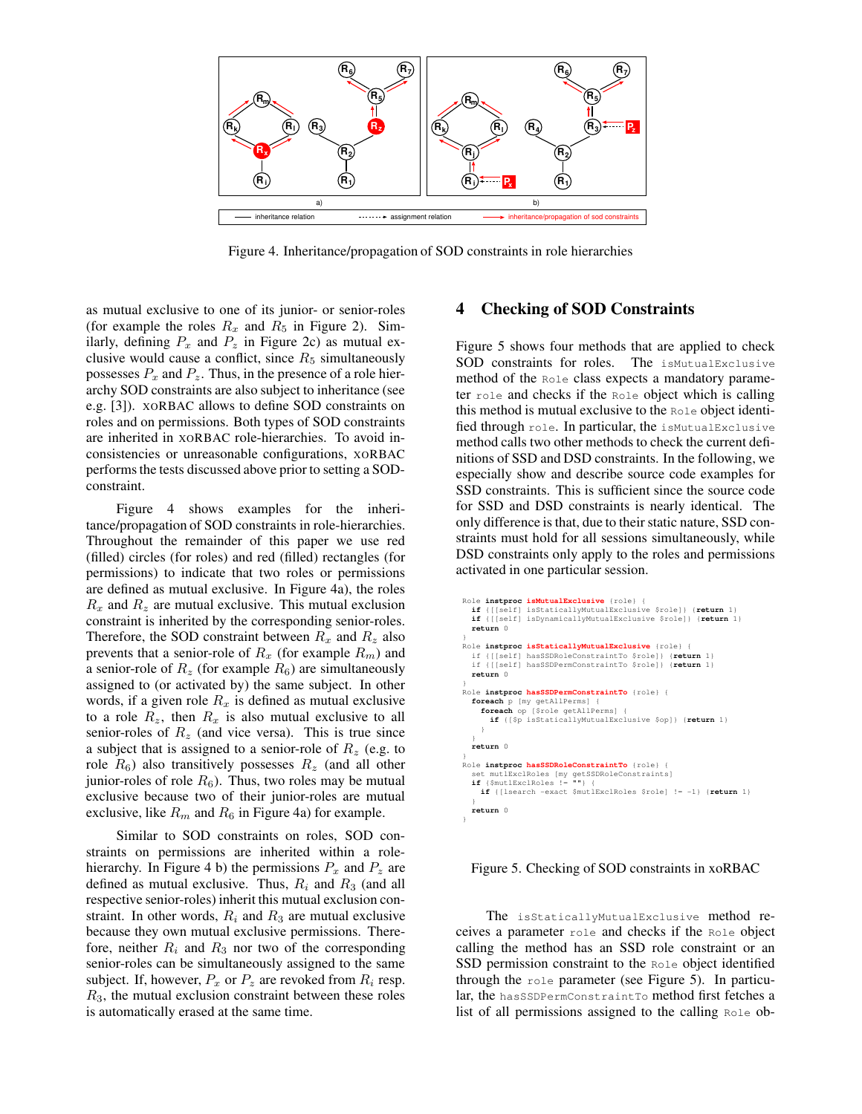

Figure 4. Inheritance/propagation of SOD constraints in role hierarchies

as mutual exclusive to one of its junior- or senior-roles (for example the roles  $R_x$  and  $R_5$  in Figure 2). Similarly, defining  $P_x$  and  $P_z$  in Figure 2c) as mutual exclusive would cause a conflict, since  $R_5$  simultaneously possesses  $P_x$  and  $P_z$ . Thus, in the presence of a role hierarchy SOD constraints are also subject to inheritance (see e.g. [3]). XORBAC allows to define SOD constraints on roles and on permissions. Both types of SOD constraints are inherited in XORBAC role-hierarchies. To avoid inconsistencies or unreasonable configurations, XORBAC performs the tests discussed above prior to setting a SODconstraint.

Figure 4 shows examples for the inheritance/propagation of SOD constraints in role-hierarchies. Throughout the remainder of this paper we use red (filled) circles (for roles) and red (filled) rectangles (for permissions) to indicate that two roles or permissions are defined as mutual exclusive. In Figure 4a), the roles  $R_x$  and  $R_z$  are mutual exclusive. This mutual exclusion constraint is inherited by the corresponding senior-roles. Therefore, the SOD constraint between  $R_x$  and  $R_z$  also prevents that a senior-role of  $R_x$  (for example  $R_m$ ) and a senior-role of  $R_z$  (for example  $R_6$ ) are simultaneously assigned to (or activated by) the same subject. In other words, if a given role  $R_x$  is defined as mutual exclusive to a role  $R_z$ , then  $R_x$  is also mutual exclusive to all senior-roles of  $R_z$  (and vice versa). This is true since a subject that is assigned to a senior-role of  $R_z$  (e.g. to role  $R_6$ ) also transitively possesses  $R_z$  (and all other junior-roles of role  $R_6$ ). Thus, two roles may be mutual exclusive because two of their junior-roles are mutual exclusive, like  $R_m$  and  $R_6$  in Figure 4a) for example.

Similar to SOD constraints on roles, SOD constraints on permissions are inherited within a rolehierarchy. In Figure 4 b) the permissions  $P_x$  and  $P_z$  are defined as mutual exclusive. Thus,  $R_i$  and  $R_3$  (and all respective senior-roles) inherit this mutual exclusion constraint. In other words,  $R_i$  and  $R_3$  are mutual exclusive because they own mutual exclusive permissions. Therefore, neither  $R_i$  and  $R_3$  nor two of the corresponding senior-roles can be simultaneously assigned to the same subject. If, however,  $P_x$  or  $P_z$  are revoked from  $R_i$  resp.  $R<sub>3</sub>$ , the mutual exclusion constraint between these roles is automatically erased at the same time.

## **4 Checking of SOD Constraints**

Figure 5 shows four methods that are applied to check SOD constraints for roles. The isMutualExclusive method of the Role class expects a mandatory parameter role and checks if the Role object which is calling this method is mutual exclusive to the Role object identified through role. In particular, the isMutualExclusive method calls two other methods to check the current definitions of SSD and DSD constraints. In the following, we especially show and describe source code examples for SSD constraints. This is sufficient since the source code for SSD and DSD constraints is nearly identical. The only difference is that, due to their static nature, SSD constraints must hold for all sessions simultaneously, while DSD constraints only apply to the roles and permissions activated in one particular session.

```
Role instproc isMutualExclusive {role} {
 if {[[self] isStaticallyMutualExclusive $role]} {return 1}
   if {[[self] isDynamicallyMutualExclusive $role]} {return 1}
   return 0
}
Role instproc isStaticallyMutualExclusive {role} {
 if {[[self] hasSSDRoleConstraintTo $role]} {return 1}
 if {[[self] hasSSDPermConstraintTo $role]} {return 1}
   return 0
}
Role instproc hasSSDPermConstraintTo {role} {
  foreach p [my getAllPerms]
    foreach op [$role getAllPerms] {
        if {[$p isStaticallyMutualExclusive $op]} {return 1}
     }
 }
 return 0
}
Role instproc hasSSDRoleConstraintTo {role} {
 set mutlExclRoles [my getSSDRoleConstraints]
 if {$mutlExclRoles != ""} {
     if {[lsearch -exact $mutlExclRoles $role] != -1} {return 1}
 }
 return 0
}
```
#### Figure 5. Checking of SOD constraints in xoRBAC

The isStaticallyMutualExclusive method receives a parameter role and checks if the Role object calling the method has an SSD role constraint or an SSD permission constraint to the Role object identified through the role parameter (see Figure 5). In particular, the hasSSDPermConstraintTo method first fetches a list of all permissions assigned to the calling Role ob-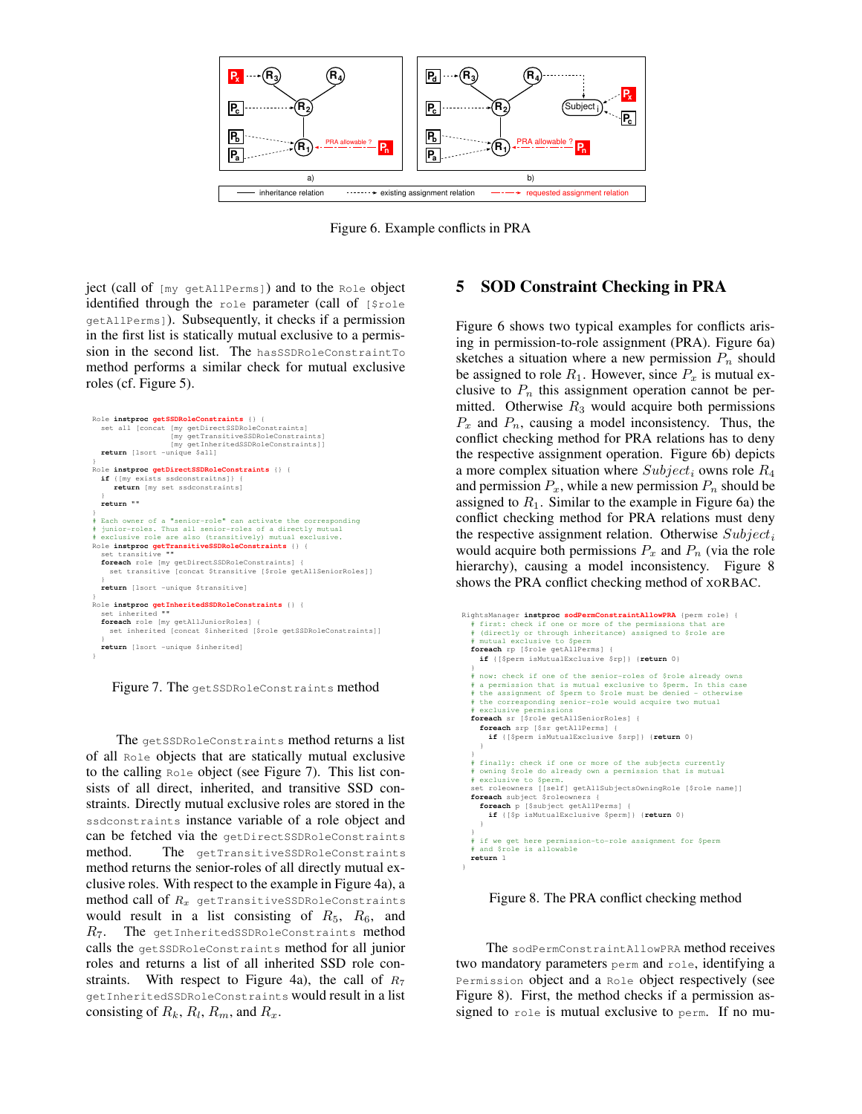

Figure 6. Example conflicts in PRA

ject (call of [my getAllPerms]) and to the Role object identified through the role parameter (call of [\$role getAllPerms]). Subsequently, it checks if a permission in the first list is statically mutual exclusive to a permission in the second list. The hasSSDRoleConstraintTo method performs a similar check for mutual exclusive roles (cf. Figure 5).



Figure 7. The getSSDRoleConstraints method

The getSSDRoleConstraints method returns a list of all Role objects that are statically mutual exclusive to the calling Role object (see Figure 7). This list consists of all direct, inherited, and transitive SSD constraints. Directly mutual exclusive roles are stored in the ssdconstraints instance variable of a role object and can be fetched via the getDirectSSDRoleConstraints method. The getTransitiveSSDRoleConstraints method returns the senior-roles of all directly mutual exclusive roles. With respect to the example in Figure 4a), a method call of  $R_x$  getTransitiveSSDRoleConstraints would result in a list consisting of  $R_5$ ,  $R_6$ , and  $R_7$ . The getInheritedSSDRoleConstraints method calls the getSSDRoleConstraints method for all junior roles and returns a list of all inherited SSD role constraints. With respect to Figure 4a), the call of  $R_7$ getInheritedSSDRoleConstraints would result in a list consisting of  $R_k$ ,  $R_l$ ,  $R_m$ , and  $R_x$ .

## **5 SOD Constraint Checking in PRA**

Figure 6 shows two typical examples for conflicts arising in permission-to-role assignment (PRA). Figure 6a) sketches a situation where a new permission  $P_n$  should be assigned to role  $R_1$ . However, since  $P_x$  is mutual exclusive to  $P_n$  this assignment operation cannot be permitted. Otherwise  $R_3$  would acquire both permissions  $P_x$  and  $P_n$ , causing a model inconsistency. Thus, the conflict checking method for PRA relations has to deny the respective assignment operation. Figure 6b) depicts a more complex situation where  $Subject_i$  owns role  $R_4$ and permission  $P_x$ , while a new permission  $P_n$  should be assigned to  $R_1$ . Similar to the example in Figure 6a) the conflict checking method for PRA relations must deny the respective assignment relation. Otherwise  $Subject_i$ would acquire both permissions  $P_x$  and  $P_n$  (via the role hierarchy), causing a model inconsistency. Figure 8 shows the PRA conflict checking method of XORBAC.

```
RightsManager instproc sodPermConstraintAllowPRA {perm role} {<br># first: check if one or more of the permissions that are<br># (directly or through inheritance) assigned to $role are
 # mutual exclusive to $perm
 foreach rp [$role getAllPerms] {
      if {[$perm isMutualExclusive $rp]} {return 0}
 }
      now: check if one of the senior-roles of $role already owns
 # a permission that is mutual exclusive to $perm. In this case 
 # the assignment of $perm to $role must be denied - otherwise 
 # the corresponding senior-role would acquire two mutual 
     exclusive permissions
 foreach sr [$role getAllSeniorRoles] {
 foreach srp [$sr getAllPerms] {
          if {[$perm isMutualExclusive $srp]} {return 0}
\qquad \qquad \} }
    # finally: check if one or more of the subjects currently 
 # owning $role do already own a permission that is mutual 
 # exclusive to $perm. 
 set roleowners [[self] getAllSubjectsOwningRole [$role name]]
 foreach subject $roleowners {
 foreach p [$subject getAllPerms] {
         if {[$p isMutualExclusive $perm]} {return 0}
\qquad \qquad \} }
 # if we get here permission-to-role assignment for $perm
 # and $role is allowable
    return 1
}
```
Figure 8. The PRA conflict checking method

The sodPermConstraintAllowPRA method receives two mandatory parameters perm and role, identifying a Permission object and a Role object respectively (see Figure 8). First, the method checks if a permission assigned to role is mutual exclusive to perm. If no mu-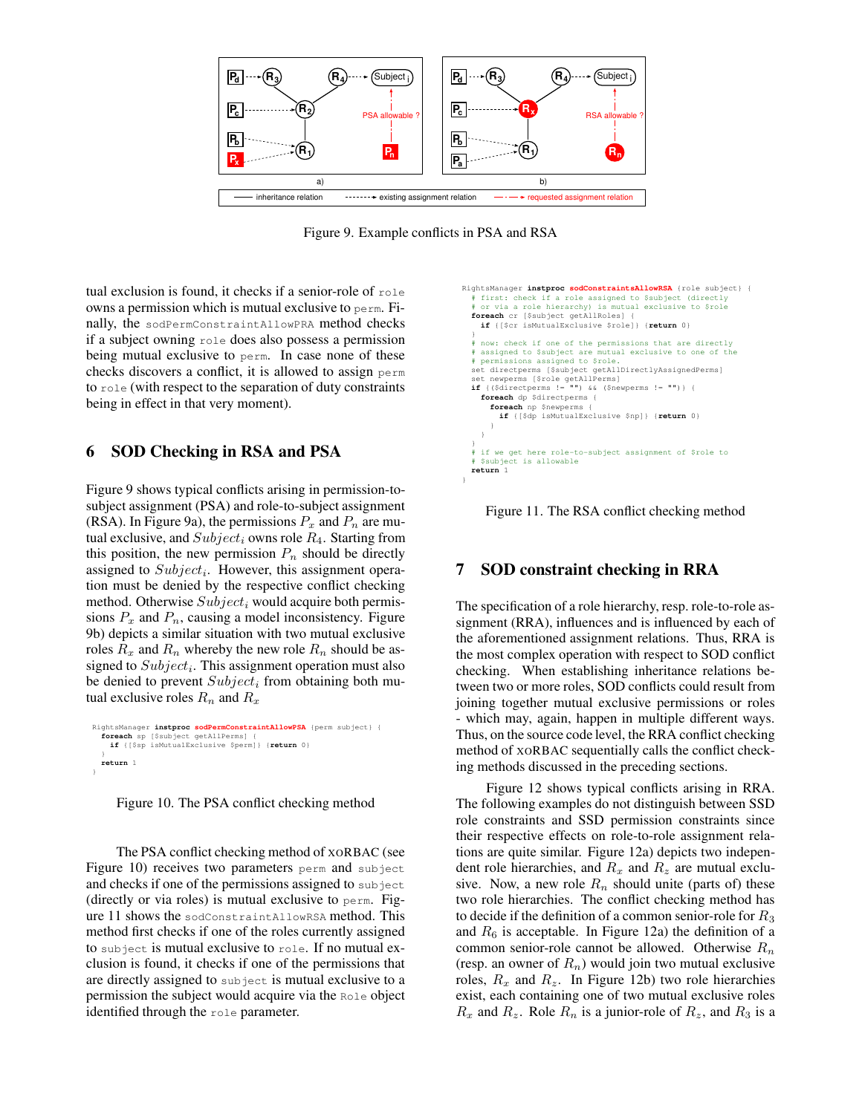

Figure 9. Example conflicts in PSA and RSA

tual exclusion is found, it checks if a senior-role of role owns a permission which is mutual exclusive to perm. Finally, the sodPermConstraintAllowPRA method checks if a subject owning role does also possess a permission being mutual exclusive to perm. In case none of these checks discovers a conflict, it is allowed to assign perm to role (with respect to the separation of duty constraints being in effect in that very moment).

## **6 SOD Checking in RSA and PSA**

Figure 9 shows typical conflicts arising in permission-tosubject assignment (PSA) and role-to-subject assignment (RSA). In Figure 9a), the permissions  $P_x$  and  $P_n$  are mutual exclusive, and  $Subject_i$  owns role  $R_4$ . Starting from this position, the new permission  $P_n$  should be directly assigned to  $Subject_i$ . However, this assignment operation must be denied by the respective conflict checking method. Otherwise  $Subject_i$  would acquire both permissions  $P_x$  and  $P_n$ , causing a model inconsistency. Figure 9b) depicts a similar situation with two mutual exclusive roles  $R_x$  and  $R_n$  whereby the new role  $R_n$  should be assigned to  $Subject_i$ . This assignment operation must also be denied to prevent  $Subject_i$  from obtaining both mutual exclusive roles  $R_n$  and  $R_x$ 

```
RightsManager instproc sodPermConstraintAllowPSA {perm subject} {
 foreach sp [$subject getAllPerms] {
     if {[$sp isMutualExclusive $perm]} {return 0}
 }
   return 1
}
```
Figure 10. The PSA conflict checking method

The PSA conflict checking method of XORBAC (see Figure 10) receives two parameters perm and subject and checks if one of the permissions assigned to subject (directly or via roles) is mutual exclusive to perm. Figure 11 shows the sodConstraintAllowRSA method. This method first checks if one of the roles currently assigned to subject is mutual exclusive to role. If no mutual exclusion is found, it checks if one of the permissions that are directly assigned to subject is mutual exclusive to a permission the subject would acquire via the Role object identified through the role parameter.

```
RightsManager instproc sodConstraintsAllowRSA {role subject} {
 # first: check if a role assigned to $subject (directly 
 # or via a role hierarchy) is mutual exclusive to $role
 foreach cr [$subject getAllRoles] {
      if {[$cr isMutualExclusive $role]} {return 0}
 } 
 # now: check if one of the permissions that are directly 
 # assigned to $subject are mutual exclusive to one of the 
 # permissions assigned to $role. 
 set directperms [$subject getAllDirectlyAssignedPerms]
 set newperms [$role getAllPerms]
 if {($directperms != "") && ($newperms != "")} {
      foreach dp $directperms {
 foreach np $newperms {
 if {[$dp isMutualExclusive $np]} {return 0}
          }
 }
 }
    # if we get here role-to-subject assignment of $role to
      $subject is allowable
   return 1
}
```
Figure 11. The RSA conflict checking method

# **7 SOD constraint checking in RRA**

The specification of a role hierarchy, resp. role-to-role assignment (RRA), influences and is influenced by each of the aforementioned assignment relations. Thus, RRA is the most complex operation with respect to SOD conflict checking. When establishing inheritance relations between two or more roles, SOD conflicts could result from joining together mutual exclusive permissions or roles - which may, again, happen in multiple different ways. Thus, on the source code level, the RRA conflict checking method of XORBAC sequentially calls the conflict checking methods discussed in the preceding sections.

Figure 12 shows typical conflicts arising in RRA. The following examples do not distinguish between SSD role constraints and SSD permission constraints since their respective effects on role-to-role assignment relations are quite similar. Figure 12a) depicts two independent role hierarchies, and  $R_x$  and  $R_z$  are mutual exclusive. Now, a new role  $R_n$  should unite (parts of) these two role hierarchies. The conflict checking method has to decide if the definition of a common senior-role for  $R_3$ and  $R_6$  is acceptable. In Figure 12a) the definition of a common senior-role cannot be allowed. Otherwise  $R_n$ (resp. an owner of  $R_n$ ) would join two mutual exclusive roles,  $R_x$  and  $R_z$ . In Figure 12b) two role hierarchies exist, each containing one of two mutual exclusive roles  $R_x$  and  $R_z$ . Role  $R_n$  is a junior-role of  $R_z$ , and  $R_3$  is a